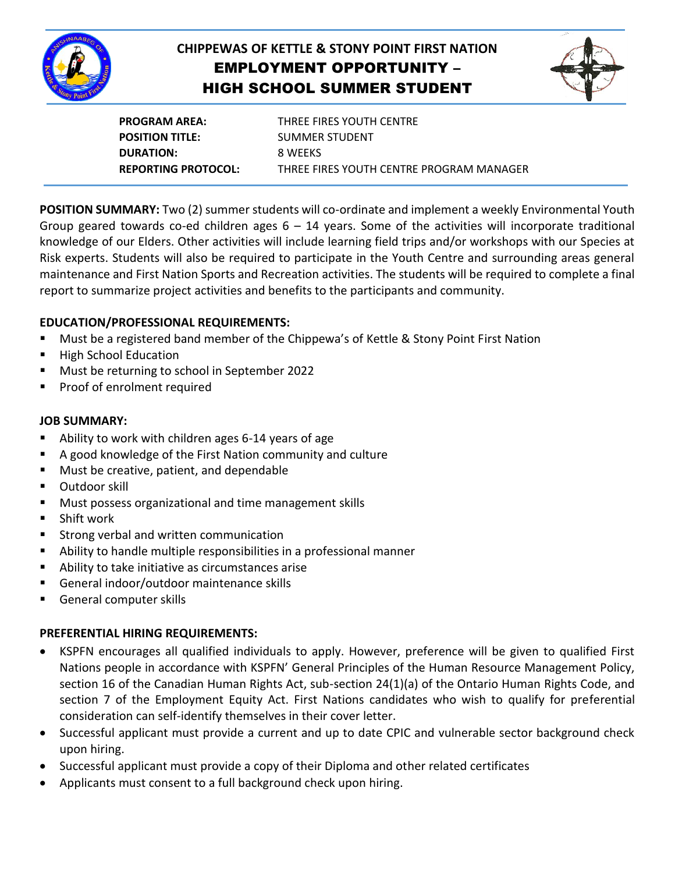

# **CHIPPEWAS OF KETTLE & STONY POINT FIRST NATION** EMPLOYMENT OPPORTUNITY – HIGH SCHOOL SUMMER STUDENT



**PROGRAM AREA:** THREE FIRES YOUTH CENTRE **POSITION TITLE:** SUMMER STUDENT **DURATION:** 8 WEEKS **REPORTING PROTOCOL:** THREE FIRES YOUTH CENTRE PROGRAM MANAGER

**POSITION SUMMARY:** Two (2) summer students will co-ordinate and implement a weekly Environmental Youth Group geared towards co-ed children ages  $6 - 14$  years. Some of the activities will incorporate traditional knowledge of our Elders. Other activities will include learning field trips and/or workshops with our Species at Risk experts. Students will also be required to participate in the Youth Centre and surrounding areas general maintenance and First Nation Sports and Recreation activities. The students will be required to complete a final report to summarize project activities and benefits to the participants and community.

## **EDUCATION/PROFESSIONAL REQUIREMENTS:**

- Must be a registered band member of the Chippewa's of Kettle & Stony Point First Nation
- **High School Education**
- Must be returning to school in September 2022
- Proof of enrolment required

#### **JOB SUMMARY:**

- Ability to work with children ages 6-14 years of age
- A good knowledge of the First Nation community and culture
- Must be creative, patient, and dependable
- Outdoor skill
- Must possess organizational and time management skills
- Shift work
- Strong verbal and written communication
- Ability to handle multiple responsibilities in a professional manner
- Ability to take initiative as circumstances arise
- General indoor/outdoor maintenance skills
- General computer skills

### **PREFERENTIAL HIRING REQUIREMENTS:**

- KSPFN encourages all qualified individuals to apply. However, preference will be given to qualified First Nations people in accordance with KSPFN' General Principles of the Human Resource Management Policy, section 16 of the Canadian Human Rights Act, sub-section 24(1)(a) of the Ontario Human Rights Code, and section 7 of the Employment Equity Act. First Nations candidates who wish to qualify for preferential consideration can self-identify themselves in their cover letter.
- Successful applicant must provide a current and up to date CPIC and vulnerable sector background check upon hiring.
- Successful applicant must provide a copy of their Diploma and other related certificates
- Applicants must consent to a full background check upon hiring.